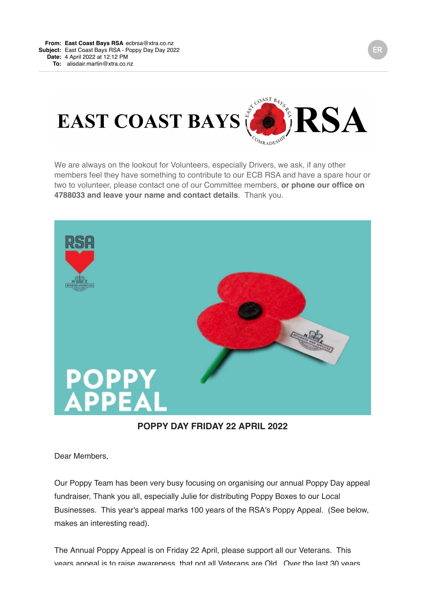

We are always on the lookout for Volunteers, especially Drivers, we ask, if any other members feel they have something to contribute to our ECB RSA and have a spare hour or two to volunteer, please contact one of our Committee members, **or phone our office on 4788033 and leave your name and contact details**. Thank you.



**POPPY DAY FRIDAY 22 APRIL 2022**

Dear Members,

Our Poppy Team has been very busy focusing on organising our annual Poppy Day appeal fundraiser, Thank you all, especially Julie for distributing Poppy Boxes to our Local Businesses. This year's appeal marks 100 years of the RSA's Poppy Appeal. (See below, makes an interesting read).

The Annual Poppy Appeal is on Friday 22 April, please support all our Veterans. This years anneal is to raise awareness, that not all Veterans are Old. Over the last 30 years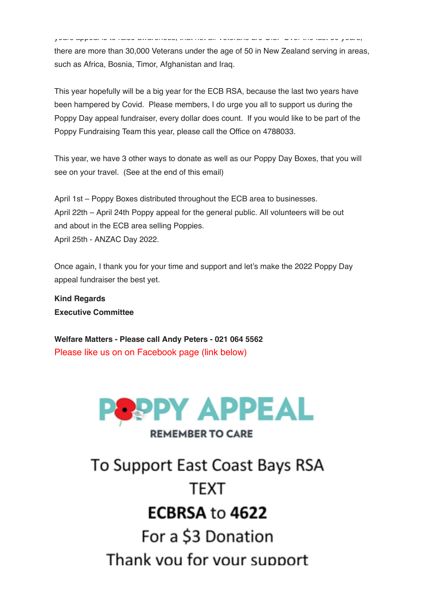years appeal is to raise awareness, that not all Veterans are Old. Over the last 30 years, there are more than 30,000 Veterans under the age of 50 in New Zealand serving in areas, such as Africa, Bosnia, Timor, Afghanistan and Iraq.

This year hopefully will be a big year for the ECB RSA, because the last two years have been hampered by Covid. Please members, I do urge you all to support us during the Poppy Day appeal fundraiser, every dollar does count. If you would like to be part of the Poppy Fundraising Team this year, please call the Office on 4788033.

This year, we have 3 other ways to donate as well as our Poppy Day Boxes, that you will see on your travel. (See at the end of this email)

April 1st – Poppy Boxes distributed throughout the ECB area to businesses. April 22th – April 24th Poppy appeal for the general public. All volunteers will be out and about in the ECB area selling Poppies. April 25th - ANZAC Day 2022.

Once again, I thank you for your time and support and let's make the 2022 Poppy Day appeal fundraiser the best yet.

**Kind Regards Executive Committee**

**Welfare Matters - Please call Andy Peters - 021 064 5562** Please like us on on Facebook page (link below)



# **REMEMBER TO CARE**

To Support East Coast Bays RSA **TFXT** ECBRSA to 4622 For a \$3 Donation Thank you for your support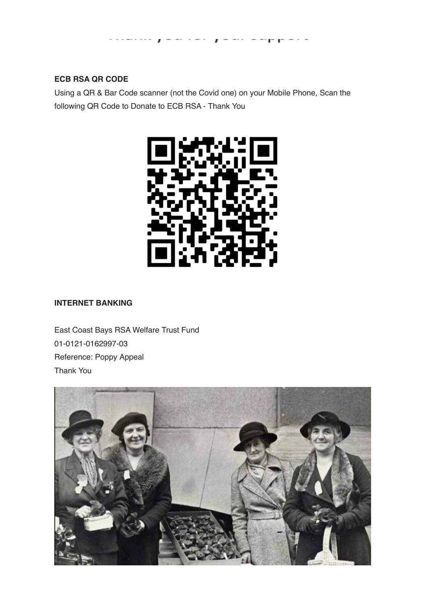

### **ECB RSA QR CODE**

Using a QR & Bar Code scanner (not the Covid one) on your Mobile Phone, Scan the following QR Code to Donate to ECB RSA - Thank You



#### **INTERNET BANKING**

East Coast Bays RSA Welfare Trust Fund 01-0121-0162997-03 Reference: Poppy Appeal Thank You

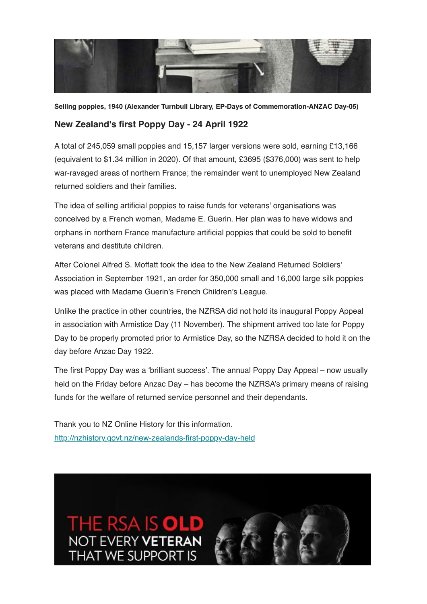

**Selling poppies, 1940 (Alexander Turnbull Library, EP-Days of Commemoration-ANZAC Day-05)**

## **New Zealand's first Poppy Day - 24 April 1922**

A total of 245,059 small poppies and 15,157 larger versions were sold, earning £13,166 (equivalent to \$1.34 million in 2020). Of that amount, £3695 (\$376,000) was sent to help war-ravaged areas of northern France; the remainder went to unemployed New Zealand returned soldiers and their families.

The idea of selling artificial poppies to raise funds for veterans' organisations was conceived by a French woman, Madame E. Guerin. Her plan was to have widows and orphans in northern France manufacture artificial poppies that could be sold to benefit veterans and destitute children.

After Colonel Alfred S. Moffatt took the idea to the New Zealand Returned Soldiers' Association in September 1921, an order for 350,000 small and 16,000 large silk poppies was placed with Madame Guerin's French Children's League.

Unlike the practice in other countries, the NZRSA did not hold its inaugural Poppy Appeal in association with Armistice Day (11 November). The shipment arrived too late for Poppy Day to be properly promoted prior to Armistice Day, so the NZRSA decided to hold it on the day before Anzac Day 1922.

The first Poppy Day was a 'brilliant success'. The annual Poppy Day Appeal – now usually held on the Friday before Anzac Day – has become the NZRSA's primary means of raising funds for the welfare of returned service personnel and their dependants.

Thank you to NZ Online History for this information. [http://nzhistory.govt.nz/new-zealands-first-poppy-day-held](https://ecbrsa.us8.list-manage.com/track/click?u=f551b690c55e92f47bb75497e&id=14f71b395b&e=f58be775b5)

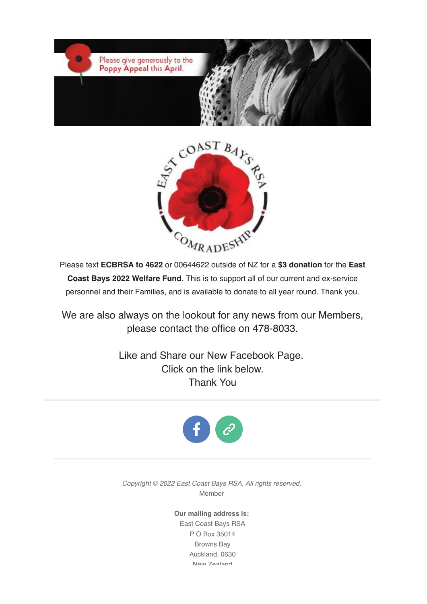



Please text **ECBRSA to 4622** or 00644622 outside of NZ for a **\$3 donation** for the **East Coast Bays 2022 Welfare Fund**. This is to support all of our current and ex-service personnel and their Families, and is available to donate to all year round. Thank you.

We are also always on the lookout for any news from our Members, please contact the office on 478-8033.

> Like and Share our New Facebook Page. Click on the link below. Thank You



*Copyright © 2022 East Coast Bays RSA, All rights reserved.* Member

> **Our mailing address is:** East Coast Bays RSA P O Box 35014 Browns Bay Auckland, 0630 New Zealand